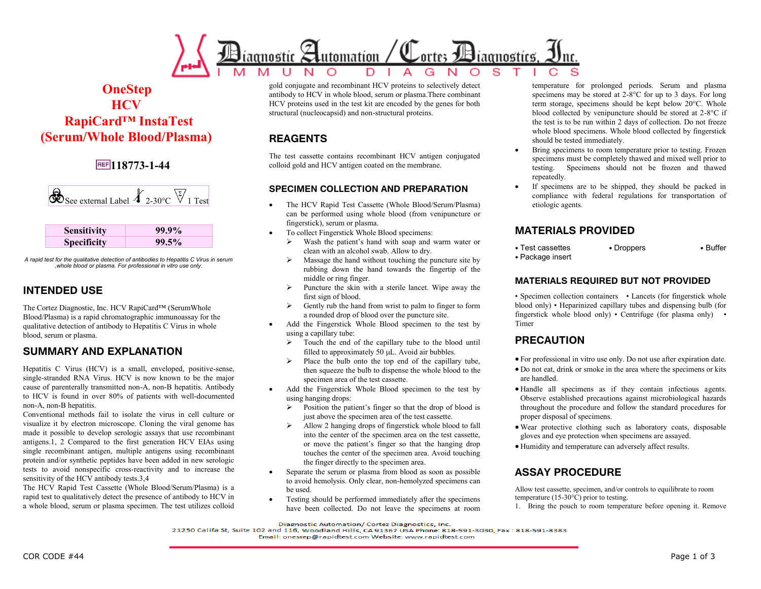

# **OneStep HCV RapiCard™ InstaTest (Serum/Whole Blood/Plasma)**

# **118773-1-44**

| 'ee external Label $\overline{4}$ 2. | 30°C V 1 |
|--------------------------------------|----------|
|--------------------------------------|----------|

| <b>Sensitivity</b> | $99.9\%$ |
|--------------------|----------|
| <b>Specificity</b> | $99.5\%$ |

*A rapid test for the qualitative detection of antibodies to Hepatitis C Virus in serum ,whole blood or plasma. For professional in vitro use only.* 

### **INTENDED USE**

The Cortez Diagnostic, Inc. HCV RapiCard™ (SerumWhole Blood/Plasma) is a rapid chromatographic immunoassay for the qualitative detection of antibody to Hepatitis C Virus in whole blood, serum or plasma.

### **SUMMARY AND EXPLANATION**

Hepatitis C Virus (HCV) is a small, enveloped, positive-sense, single-stranded RNA Virus. HCV is now known to be the major cause of parenterally transmitted non-A, non-B hepatitis. Antibody to HCV is found in over 80% of patients with well-documented non-A, non-B hepatitis.

Conventional methods fail to isolate the virus in cell culture or visualize it by electron microscope. Cloning the viral genome has made it possible to develop serologic assays that use recombinant antigens.1, 2 Compared to the first generation HCV EIAs using single recombinant antigen, multiple antigens using recombinant protein and/or synthetic peptides have been added in new serologic tests to avoid nonspecific cross-reactivity and to increase the sensitivity of the HCV antibody tests.3,4

The HCV Rapid Test Cassette (Whole Blood/Serum/Plasma) is a rapid test to qualitatively detect the presence of antibody to HCV in a whole blood, serum or plasma specimen. The test utilizes colloid gold conjugate and recombinant HCV proteins to selectively detect antibody to HCV in whole blood, serum or plasma.There combinant HCV proteins used in the test kit are encoded by the genes for both structural (nucleocapsid) and non-structural proteins.

# **REAGENTS**

The test cassette contains recombinant HCV antigen conjugated colloid gold and HCV antigen coated on the membrane.

#### **SPECIMEN COLLECTION AND PREPARATION**

- The HCV Rapid Test Cassette (Whole Blood/Serum/Plasma) can be performed using whole blood (from venipuncture or fingerstick), serum or plasma.
- To collect Fingerstick Whole Blood specimens:
	- Wash the patient's hand with soap and warm water or clean with an alcohol swab. Allow to dry.
	- $\triangleright$  Massage the hand without touching the puncture site by rubbing down the hand towards the fingertip of the middle or ring finger.
	- $\triangleright$  Puncture the skin with a sterile lancet. Wipe away the first sign of blood.
	- $\triangleright$  Gently rub the hand from wrist to palm to finger to form a rounded drop of blood over the puncture site.
- Add the Fingerstick Whole Blood specimen to the test by using a capillary tube:
	- $\triangleright$  Touch the end of the capillary tube to the blood until filled to approximately 50  $\mu$ L. Avoid air bubbles.
	- $\triangleright$  Place the bulb onto the top end of the capillary tube, then squeeze the bulb to dispense the whole blood to the specimen area of the test cassette.
- Add the Fingerstick Whole Blood specimen to the test by using hanging drops:
	- $\triangleright$  Position the patient's finger so that the drop of blood is just above the specimen area of the test cassette.
	- Allow 2 hanging drops of fingerstick whole blood to fall into the center of the specimen area on the test cassette, or move the patient's finger so that the hanging drop touches the center of the specimen area. Avoid touching the finger directly to the specimen area.
- Separate the serum or plasma from blood as soon as possible to avoid hemolysis. Only clear, non-hemolyzed specimens can be used.
- Testing should be performed immediately after the specimens have been collected. Do not leave the specimens at room

temperature for prolonged periods. Serum and plasma specimens may be stored at 2-8°C for up to 3 days. For long term storage, specimens should be kept below 20°C. Whole blood collected by venipuncture should be stored at 2-8°C if the test is to be run within 2 days of collection. Do not freeze whole blood specimens. Whole blood collected by fingerstick should be tested immediately.

- Bring specimens to room temperature prior to testing. Frozen specimens must be completely thawed and mixed well prior to testing. Specimens should not be frozen and thawed repeatedly.
- If specimens are to be shipped, they should be packed in compliance with federal regulations for transportation of etiologic agents.

#### **MATERIALS PROVIDED**

• Test cassettes • Droppers • Buffer • Package insert

#### **MATERIALS REQUIRED BUT NOT PROVIDED**

• Specimen collection containers • Lancets (for fingerstick whole blood only) • Heparinized capillary tubes and dispensing bulb (for fingerstick whole blood only) • Centrifuge (for plasma only) • Timer

### **PRECAUTION**

- For professional in vitro use only. Do not use after expiration date.
- Do not eat, drink or smoke in the area where the specimens or kits are handled.
- Handle all specimens as if they contain infectious agents. Observe established precautions against microbiological hazards throughout the procedure and follow the standard procedures for proper disposal of specimens.
- Wear protective clothing such as laboratory coats, disposable gloves and eye protection when specimens are assayed.
- Humidity and temperature can adversely affect results.

#### **ASSAY PROCEDURE**

Allow test cassette, specimen, and/or controls to equilibrate to room temperature (15-30°C) prior to testing.

1. Bring the pouch to room temperature before opening it. Remove

Diagnostic Automation/ Cortez Diagnostics, Inc.

Email: onestep@rapidtest.com Website: www.rapidtest.com

<sup>21250</sup> Califa St, Suite 102 and 116, Woodland Hills, CA 91367 USA Phone: 818-591-3030, Fax: 818-591-8383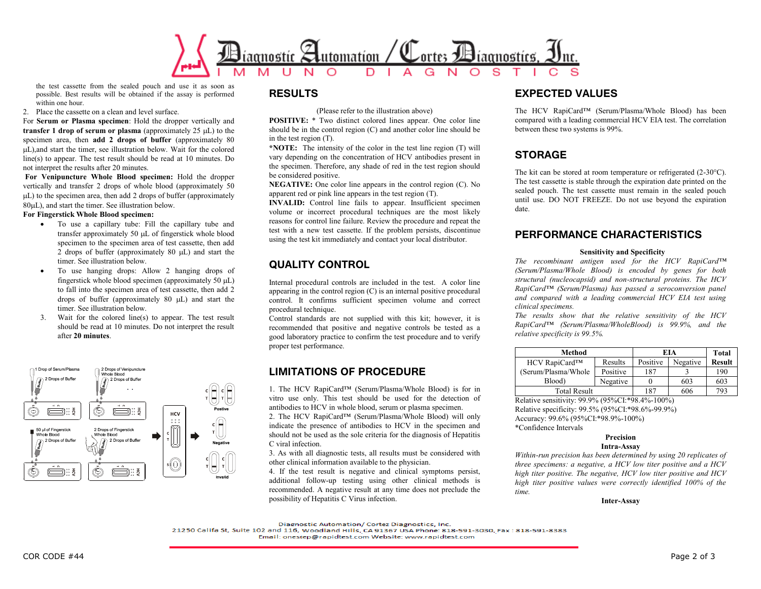

the test cassette from the sealed pouch and use it as soon as possible. Best results will be obtained if the assay is performed within one hour.

2. Place the cassette on a clean and level surface.

For **Serum or Plasma specimen**: Hold the dropper vertically and **transfer 1 drop of serum or plasma** (approximately  $25 \mu L$ ) to the specimen area, then **add 2 drops of buffer** (approximately 80 L),and start the timer, see illustration below. Wait for the colored line(s) to appear. The test result should be read at 10 minutes. Do not interpret the results after 20 minutes.

**For Venipuncture Whole Blood specimen:** Hold the dropper vertically and transfer 2 drops of whole blood (approximately 50  $\mu$ L) to the specimen area, then add 2 drops of buffer (approximately 80 $\mu$ L), and start the timer. See illustration below.

#### **For Fingerstick Whole Blood specimen:**

- To use a capillary tube: Fill the capillary tube and transfer approximately 50 µL of fingerstick whole blood specimen to the specimen area of test cassette, then add 2 drops of buffer (approximately  $80 \mu L$ ) and start the timer. See illustration below.
- To use hanging drops: Allow 2 hanging drops of fingerstick whole blood specimen (approximately 50  $\mu$ L) to fall into the specimen area of test cassette, then add 2 drops of buffer (approximately  $80 \text{ }\mu\text{L}$ ) and start the timer. See illustration below.
- 3. Wait for the colored line(s) to appear. The test result should be read at 10 minutes. Do not interpret the result after **20 minutes**.



#### **RESULTS**

(Please refer to the illustration above)

**POSITIVE:** \* Two distinct colored lines appear. One color line should be in the control region (C) and another color line should be in the test region (T).

**\*NOTE:** The intensity of the color in the test line region (T) will vary depending on the concentration of HCV antibodies present in the specimen. Therefore, any shade of red in the test region should be considered positive.

**NEGATIVE:** One color line appears in the control region (C). No apparent red or pink line appears in the test region (T).

**INVALID:** Control line fails to appear. Insufficient specimen volume or incorrect procedural techniques are the most likely reasons for control line failure. Review the procedure and repeat the test with a new test cassette. If the problem persists, discontinue using the test kit immediately and contact your local distributor.

# **QUALITY CONTROL**

Internal procedural controls are included in the test. A color line appearing in the control region (C) is an internal positive procedural control. It confirms sufficient specimen volume and correct procedural technique.

Control standards are not supplied with this kit; however, it is recommended that positive and negative controls be tested as a good laboratory practice to confirm the test procedure and to verify proper test performance.

### **LIMITATIONS OF PROCEDURE**

1. The HCV RapiCard™ (Serum/Plasma/Whole Blood) is for in vitro use only. This test should be used for the detection of antibodies to HCV in whole blood, serum or plasma specimen.

2. The HCV RapiCard™ (Serum/Plasma/Whole Blood) will only indicate the presence of antibodies to HCV in the specimen and should not be used as the sole criteria for the diagnosis of Hepatitis C viral infection.

3. As with all diagnostic tests, all results must be considered with other clinical information available to the physician.

4. If the test result is negative and clinical symptoms persist, additional follow-up testing using other clinical methods is recommended. A negative result at any time does not preclude the possibility of Hepatitis C Virus infection.

#### **EXPECTED VALUES**

The HCV RapiCard™ (Serum/Plasma/Whole Blood) has been compared with a leading commercial HCV EIA test. The correlation between these two systems is 99%.

### **STORAGE**

The kit can be stored at room temperature or refrigerated (2-30°C). The test cassette is stable through the expiration date printed on the sealed pouch. The test cassette must remain in the sealed pouch until use. DO NOT FREEZE. Do not use beyond the expiration date.

### **PERFORMANCE CHARACTERISTICS**

#### **Sensitivity and Specificity**

*The recombinant antigen used for the HCV RapiCard™ (Serum/Plasma/Whole Blood) is encoded by genes for both structural (nucleocapsid) and non-structural proteins. The HCV RapiCard™ (Serum/Plasma) has passed a seroconversion panel and compared with a leading commercial HCV EIA test using clinical specimens.*

*The results show that the relative sensitivity of the HCV RapiCard™ (Serum/Plasma/WholeBlood) is 99.9%, and the relative specificity is 99.5%.*

| Method               |          | EIA      |          | Total         |
|----------------------|----------|----------|----------|---------------|
| HCV RapiCard™        | Results  | Positive | Negative | <b>Result</b> |
| (Serum/Plasma/Whole) | Positive | 187      |          | 190           |
| Blood)               | Negative |          | 603      | 603           |
| Total Result         |          | 187      | 606      | 793           |

Relative sensitivity: 99.9% (95%CI:\*98.4%-100%) Relative specificity: 99.5% (95%CI:\*98.6%-99.9%) Accuracy: 99.6% (95%CI:\*98.9%-100%) \*Confidence Intervals

#### **Precision**

#### **Intra-Assay**

*Within-run precision has been determined by using 20 replicates of three specimens: a negative, a HCV low titer positive and a HCV high titer positive. The negative, HCV low titer positive and HCV high titer positive values were correctly identified 100% of the time.*

#### **Inter-Assay**

Diagnostic Automation/ Cortez Diagnostics, Inc.

21250 Califa St, Suite 102 and 116, Woodland Hills, CA 91367 USA Phone: 818-591-3030, Fax: 818-591-8383

Email: onestep@rapidtest.com Website: www.rapidtest.com